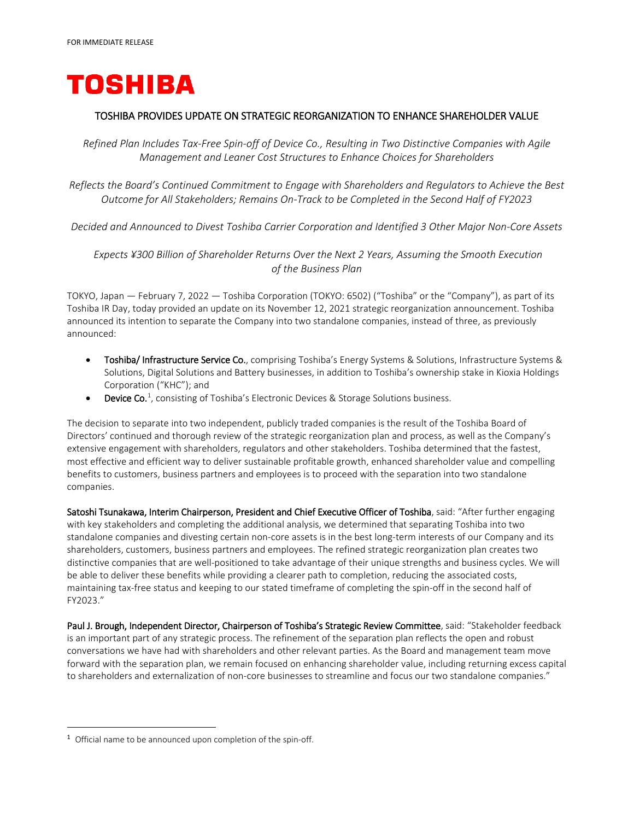

# TOSHIBA PROVIDES UPDATE ON STRATEGIC REORGANIZATION TO ENHANCE SHAREHOLDER VALUE

*Refined Plan Includes Tax-Free Spin-off of Device Co., Resulting in Two Distinctive Companies with Agile Management and Leaner Cost Structures to Enhance Choices for Shareholders*

*Reflects the Board's Continued Commitment to Engage with Shareholders and Regulators to Achieve the Best Outcome for All Stakeholders; Remains On-Track to be Completed in the Second Half of FY2023*

*Decided and Announced to Divest Toshiba Carrier Corporation and Identified 3 Other Major Non-Core Assets*

*Expects ¥300 Billion of Shareholder Returns Over the Next 2 Years, Assuming the Smooth Execution of the Business Plan*

TOKYO, Japan — February 7, 2022 — Toshiba Corporation (TOKYO: 6502) ("Toshiba" or the "Company"), as part of its Toshiba IR Day, today provided an update on its November 12, 2021 strategic reorganization announcement. Toshiba announced its intention to separate the Company into two standalone companies, instead of three, as previously announced:

- Toshiba/ Infrastructure Service Co., comprising Toshiba's Energy Systems & Solutions, Infrastructure Systems & Solutions, Digital Solutions and Battery businesses, in addition to Toshiba's ownership stake in Kioxia Holdings Corporation ("KHC"); and
- Device Co.<sup>[1](#page-0-0)</sup>, consisting of Toshiba's Electronic Devices & Storage Solutions business.

The decision to separate into two independent, publicly traded companies is the result of the Toshiba Board of Directors' continued and thorough review of the strategic reorganization plan and process, as well as the Company's extensive engagement with shareholders, regulators and other stakeholders. Toshiba determined that the fastest, most effective and efficient way to deliver sustainable profitable growth, enhanced shareholder value and compelling benefits to customers, business partners and employees is to proceed with the separation into two standalone companies.

Satoshi Tsunakawa, Interim Chairperson, President and Chief Executive Officer of Toshiba, said: "After further engaging with key stakeholders and completing the additional analysis, we determined that separating Toshiba into two standalone companies and divesting certain non-core assets is in the best long-term interests of our Company and its shareholders, customers, business partners and employees. The refined strategic reorganization plan creates two distinctive companies that are well-positioned to take advantage of their unique strengths and business cycles. We will be able to deliver these benefits while providing a clearer path to completion, reducing the associated costs, maintaining tax-free status and keeping to our stated timeframe of completing the spin-off in the second half of FY2023."

Paul J. Brough, Independent Director, Chairperson of Toshiba's Strategic Review Committee, said: "Stakeholder feedback is an important part of any strategic process. The refinement of the separation plan reflects the open and robust conversations we have had with shareholders and other relevant parties. As the Board and management team move forward with the separation plan, we remain focused on enhancing shareholder value, including returning excess capital to shareholders and externalization of non-core businesses to streamline and focus our two standalone companies."

<span id="page-0-0"></span> $\overline{1}$  $1$  Official name to be announced upon completion of the spin-off.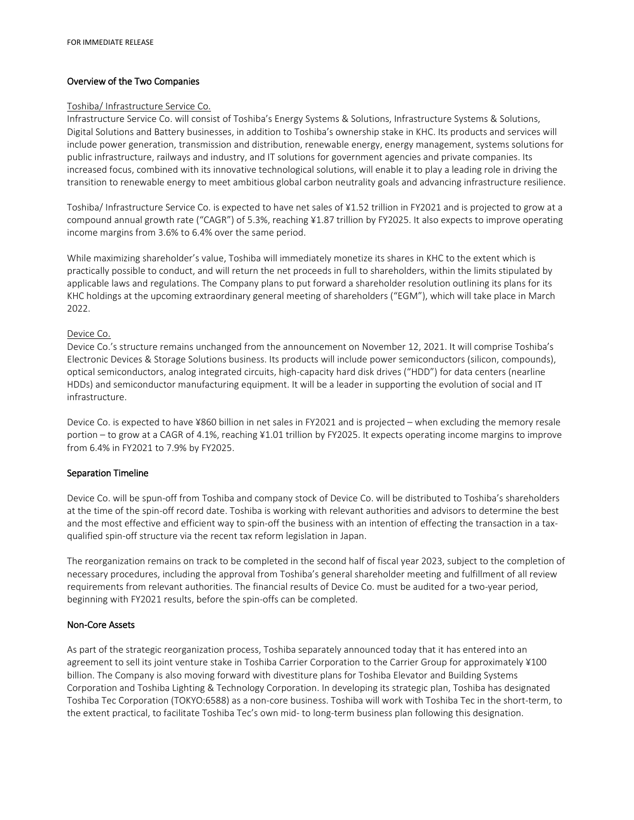# Overview of the Two Companies

### Toshiba/ Infrastructure Service Co.

Infrastructure Service Co. will consist of Toshiba's Energy Systems & Solutions, Infrastructure Systems & Solutions, Digital Solutions and Battery businesses, in addition to Toshiba's ownership stake in KHC. Its products and services will include power generation, transmission and distribution, renewable energy, energy management, systems solutions for public infrastructure, railways and industry, and IT solutions for government agencies and private companies. Its increased focus, combined with its innovative technological solutions, will enable it to play a leading role in driving the transition to renewable energy to meet ambitious global carbon neutrality goals and advancing infrastructure resilience.

Toshiba/ Infrastructure Service Co. is expected to have net sales of ¥1.52 trillion in FY2021 and is projected to grow at a compound annual growth rate ("CAGR") of 5.3%, reaching ¥1.87 trillion by FY2025. It also expects to improve operating income margins from 3.6% to 6.4% over the same period.

While maximizing shareholder's value, Toshiba will immediately monetize its shares in KHC to the extent which is practically possible to conduct, and will return the net proceeds in full to shareholders, within the limits stipulated by applicable laws and regulations. The Company plans to put forward a shareholder resolution outlining its plans for its KHC holdings at the upcoming extraordinary general meeting of shareholders ("EGM"), which will take place in March 2022.

### Device Co.

Device Co.'s structure remains unchanged from the announcement on November 12, 2021. It will comprise Toshiba's Electronic Devices & Storage Solutions business. Its products will include power semiconductors (silicon, compounds), optical semiconductors, analog integrated circuits, high-capacity hard disk drives ("HDD") for data centers (nearline HDDs) and semiconductor manufacturing equipment. It will be a leader in supporting the evolution of social and IT infrastructure.

Device Co. is expected to have ¥860 billion in net sales in FY2021 and is projected – when excluding the memory resale portion – to grow at a CAGR of 4.1%, reaching ¥1.01 trillion by FY2025. It expects operating income margins to improve from 6.4% in FY2021 to 7.9% by FY2025.

## Separation Timeline

Device Co. will be spun-off from Toshiba and company stock of Device Co. will be distributed to Toshiba's shareholders at the time of the spin-off record date. Toshiba is working with relevant authorities and advisors to determine the best and the most effective and efficient way to spin-off the business with an intention of effecting the transaction in a taxqualified spin-off structure via the recent tax reform legislation in Japan.

The reorganization remains on track to be completed in the second half of fiscal year 2023, subject to the completion of necessary procedures, including the approval from Toshiba's general shareholder meeting and fulfillment of all review requirements from relevant authorities. The financial results of Device Co. must be audited for a two-year period, beginning with FY2021 results, before the spin-offs can be completed.

## Non-Core Assets

As part of the strategic reorganization process, Toshiba separately announced today that it has entered into an agreement to sell its joint venture stake in Toshiba Carrier Corporation to the Carrier Group for approximately ¥100 billion. The Company is also moving forward with divestiture plans for Toshiba Elevator and Building Systems Corporation and Toshiba Lighting & Technology Corporation. In developing its strategic plan, Toshiba has designated Toshiba Tec Corporation (TOKYO:6588) as a non-core business. Toshiba will work with Toshiba Tec in the short-term, to the extent practical, to facilitate Toshiba Tec's own mid- to long-term business plan following this designation.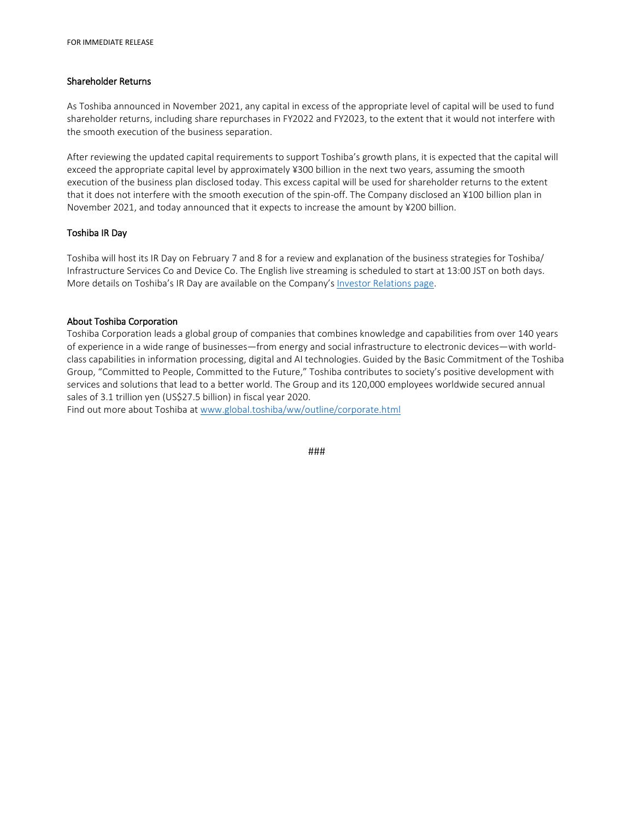#### Shareholder Returns

As Toshiba announced in November 2021, any capital in excess of the appropriate level of capital will be used to fund shareholder returns, including share repurchases in FY2022 and FY2023, to the extent that it would not interfere with the smooth execution of the business separation.

After reviewing the updated capital requirements to support Toshiba's growth plans, it is expected that the capital will exceed the appropriate capital level by approximately ¥300 billion in the next two years, assuming the smooth execution of the business plan disclosed today. This excess capital will be used for shareholder returns to the extent that it does not interfere with the smooth execution of the spin-off. The Company disclosed an ¥100 billion plan in November 2021, and today announced that it expects to increase the amount by ¥200 billion.

### Toshiba IR Day

Toshiba will host its IR Day on February 7 and 8 for a review and explanation of the business strategies for Toshiba/ Infrastructure Services Co and Device Co. The English live streaming is scheduled to start at 13:00 JST on both days. More details on Toshiba's IR Day are available on the Company's Investor Relations page.

#### About Toshiba Corporation

Toshiba Corporation leads a global group of companies that combines knowledge and capabilities from over 140 years of experience in a wide range of businesses—from energy and social infrastructure to electronic devices—with worldclass capabilities in information processing, digital and AI technologies. Guided by the Basic Commitment of the Toshiba Group, "Committed to People, Committed to the Future," Toshiba contributes to society's positive development with services and solutions that lead to a better world. The Group and its 120,000 employees worldwide secured annual sales of 3.1 trillion yen (US\$27.5 billion) in fiscal year 2020.

Find out more about Toshiba a[t www.global.toshiba/ww/outline/corporate.html](http://www.global.toshiba/ww/outline/corporate.html)

###